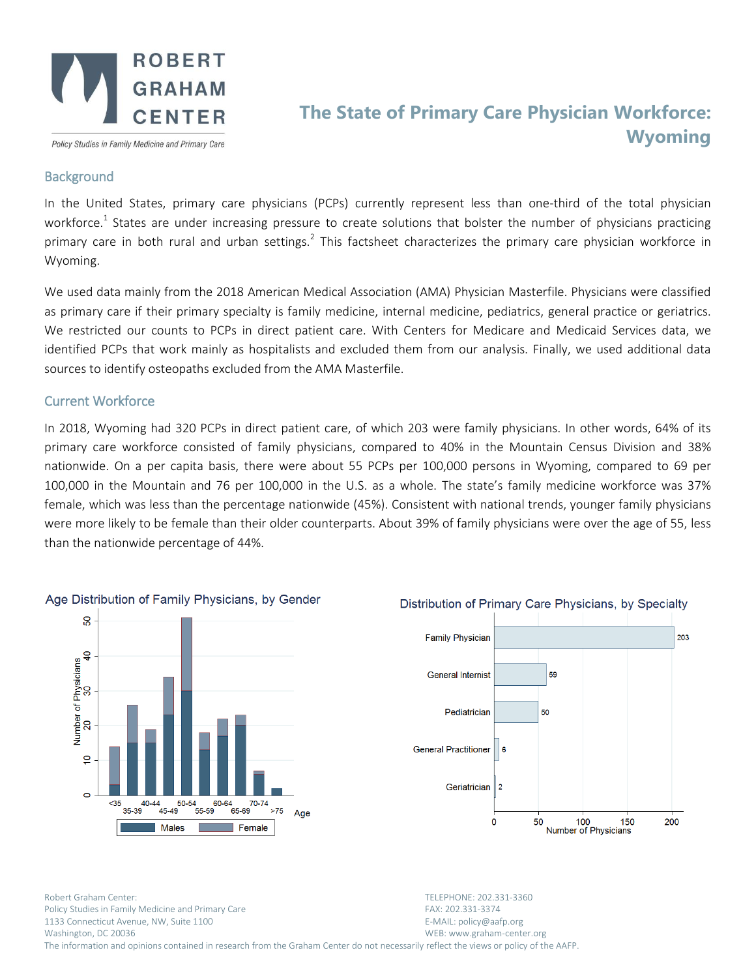

Policy Studies in Family Medicine and Primary Care

## **The State of Primary Care Physician Workforce: Wyoming**

## **Background**

In the United States, primary care physicians (PCPs) currently represent less than one-third of the total physician workforce.<sup>1</sup> States are under increasing pressure to create solutions that bolster the number of physicians practicing primary care in both rural and urban settings.<sup>2</sup> This factsheet characterizes the primary care physician workforce in Wyoming.

We used data mainly from the 2018 American Medical Association (AMA) Physician Masterfile. Physicians were classified as primary care if their primary specialty is family medicine, internal medicine, pediatrics, general practice or geriatrics. We restricted our counts to PCPs in direct patient care. With Centers for Medicare and Medicaid Services data, we identified PCPs that work mainly as hospitalists and excluded them from our analysis. Finally, we used additional data sources to identify osteopaths excluded from the AMA Masterfile.

## Current Workforce

In 2018, Wyoming had 320 PCPs in direct patient care, of which 203 were family physicians. In other words, 64% of its primary care workforce consisted of family physicians, compared to 40% in the Mountain Census Division and 38% nationwide. On a per capita basis, there were about 55 PCPs per 100,000 persons in Wyoming, compared to 69 per 100,000 in the Mountain and 76 per 100,000 in the U.S. as a whole. The state's family medicine workforce was 37% female, which was less than the percentage nationwide (45%). Consistent with national trends, younger family physicians were more likely to be female than their older counterparts. About 39% of family physicians were over the age of 55, less than the nationwide percentage of 44%.